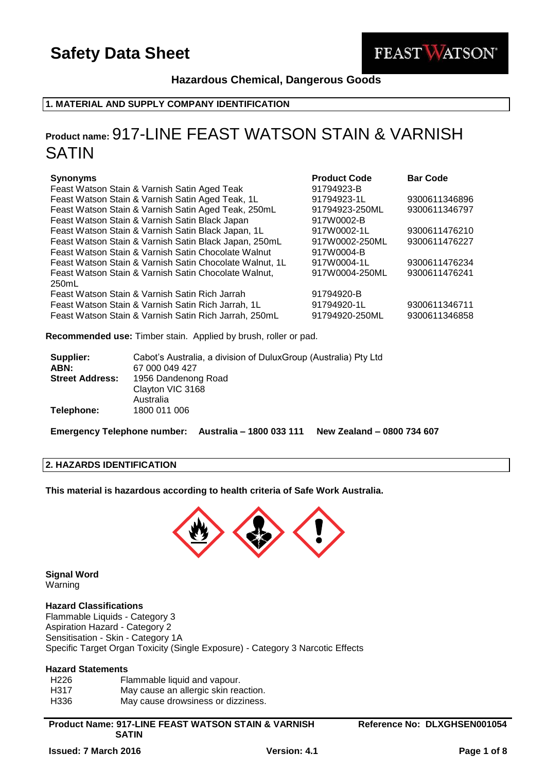

## **Hazardous Chemical, Dangerous Goods**

## **1. MATERIAL AND SUPPLY COMPANY IDENTIFICATION**

## **Product name:** 917-LINE FEAST WATSON STAIN & VARNISH SATIN

## **Synonyms Product Code Bar Code**

| Feast Watson Stain & Varnish Satin Aged Teak            | 91794923-B     |               |
|---------------------------------------------------------|----------------|---------------|
| Feast Watson Stain & Varnish Satin Aged Teak, 1L        | 91794923-1L    | 9300611346896 |
| Feast Watson Stain & Varnish Satin Aged Teak, 250mL     | 91794923-250ML | 9300611346797 |
| Feast Watson Stain & Varnish Satin Black Japan          | 917W0002-B     |               |
| Feast Watson Stain & Varnish Satin Black Japan, 1L      | 917W0002-1L    | 9300611476210 |
| Feast Watson Stain & Varnish Satin Black Japan, 250mL   | 917W0002-250ML | 9300611476227 |
| Feast Watson Stain & Varnish Satin Chocolate Walnut     | 917W0004-B     |               |
| Feast Watson Stain & Varnish Satin Chocolate Walnut, 1L | 917W0004-1L    | 9300611476234 |
| Feast Watson Stain & Varnish Satin Chocolate Walnut,    | 917W0004-250ML | 9300611476241 |
| 250mL                                                   |                |               |
| Feast Watson Stain & Varnish Satin Rich Jarrah          | 91794920-B     |               |
| Feast Watson Stain & Varnish Satin Rich Jarrah, 1L      | 91794920-1L    | 9300611346711 |
| Feast Watson Stain & Varnish Satin Rich Jarrah, 250mL   | 91794920-250ML | 9300611346858 |
|                                                         |                |               |

**Recommended use:** Timber stain. Applied by brush, roller or pad.

| Supplier:              | Cabot's Australia, a division of DuluxGroup (Australia) Pty Ltd |
|------------------------|-----------------------------------------------------------------|
| ABN:                   | 67 000 049 427                                                  |
| <b>Street Address:</b> | 1956 Dandenong Road                                             |
|                        | Clayton VIC 3168                                                |
|                        | Australia                                                       |
| Telephone:             | 1800 011 006                                                    |

**Emergency Telephone number: Australia – 1800 033 111 New Zealand – 0800 734 607**

#### **2. HAZARDS IDENTIFICATION**

**This material is hazardous according to health criteria of Safe Work Australia.**



**Signal Word** Warning

#### **Hazard Classifications**

Flammable Liquids - Category 3 Aspiration Hazard - Category 2 Sensitisation - Skin - Category 1A Specific Target Organ Toxicity (Single Exposure) - Category 3 Narcotic Effects

### **Hazard Statements**

| H226 | Flammable liquid and vapour.         |
|------|--------------------------------------|
| H317 | May cause an allergic skin reaction. |
| H336 | May cause drowsiness or dizziness.   |

#### **Product Name: 917-LINE FEAST WATSON STAIN & VARNISH SATIN**

**Reference No: DLXGHSEN001054**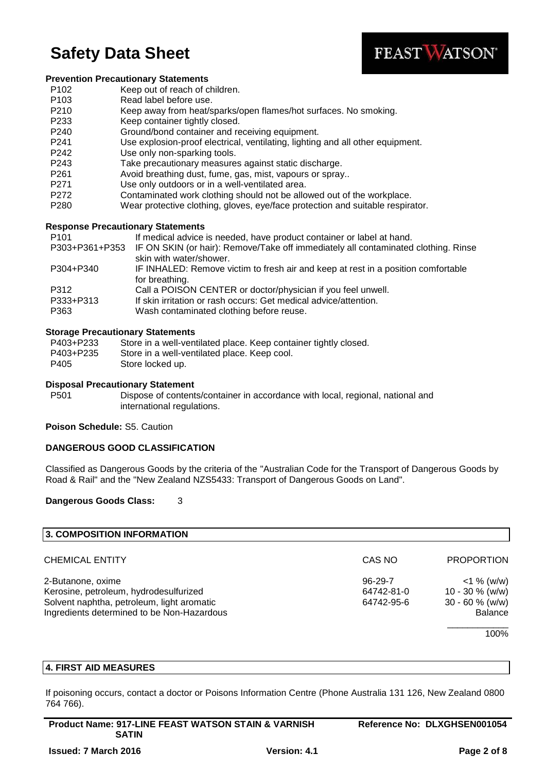

#### **Prevention Precautionary Statements**

- P102 Keep out of reach of children.
- P103 Read label before use.
- P210 Keep away from heat/sparks/open flames/hot surfaces. No smoking.
- P233 Keep container tightly closed.
- P240 Ground/bond container and receiving equipment.
- P241 Use explosion-proof electrical, ventilating, lighting and all other equipment.
- P242 Use only non-sparking tools.
- P243 Take precautionary measures against static discharge.
- P261 Avoid breathing dust, fume, gas, mist, vapours or spray..
- P271 Use only outdoors or in a well-ventilated area.
- P272 Contaminated work clothing should not be allowed out of the workplace.
- P280 Wear protective clothing, gloves, eye/face protection and suitable respirator.

## **Response Precautionary Statements**

P101 **If medical advice is needed, have product container or label at hand.** 

- P303+P361+P353 IF ON SKIN (or hair): Remove/Take off immediately all contaminated clothing. Rinse skin with water/shower.
- P304+P340 IF INHALED: Remove victim to fresh air and keep at rest in a position comfortable for breathing.
- P312 Call a POISON CENTER or doctor/physician if you feel unwell.
- P333+P313 If skin irritation or rash occurs: Get medical advice/attention.
- P363 Wash contaminated clothing before reuse.

## **Storage Precautionary Statements**

| P403+P233 | Store in a well-ventilated place. Keep container tightly closed. |
|-----------|------------------------------------------------------------------|
| P403+P235 | Store in a well-ventilated place. Keep cool.                     |
| P405      | Store locked up.                                                 |

### **Disposal Precautionary Statement**

P501 Dispose of contents/container in accordance with local, regional, national and international regulations.

#### **Poison Schedule:** S5. Caution

## **DANGEROUS GOOD CLASSIFICATION**

Classified as Dangerous Goods by the criteria of the "Australian Code for the Transport of Dangerous Goods by Road & Rail" and the "New Zealand NZS5433: Transport of Dangerous Goods on Land".

## **Dangerous Goods Class:** 3

| <b>3. COMPOSITION INFORMATION</b>          |               |                    |
|--------------------------------------------|---------------|--------------------|
| <b>CHEMICAL ENTITY</b>                     | CAS NO        | <b>PROPORTION</b>  |
| 2-Butanone, oxime                          | $96 - 29 - 7$ | $<$ 1 % (w/w)      |
| Kerosine, petroleum, hydrodesulfurized     | 64742-81-0    | $10 - 30 \%$ (w/w) |
| Solvent naphtha, petroleum, light aromatic | 64742-95-6    | $30 - 60$ % (w/w)  |
| Ingredients determined to be Non-Hazardous |               | <b>Balance</b>     |
|                                            |               | 100%               |

## **4. FIRST AID MEASURES**

If poisoning occurs, contact a doctor or Poisons Information Centre (Phone Australia 131 126, New Zealand 0800 764 766).

| <b>Product Name: 917-LINE FEAST WATSON STAIN &amp; VARNISH</b> |                     | Reference No: DLXGHSEN001054 |
|----------------------------------------------------------------|---------------------|------------------------------|
| <b>SATIN</b>                                                   |                     |                              |
| <b>Issued: 7 March 2016</b>                                    | <b>Version: 4.1</b> | Page 2 of 8                  |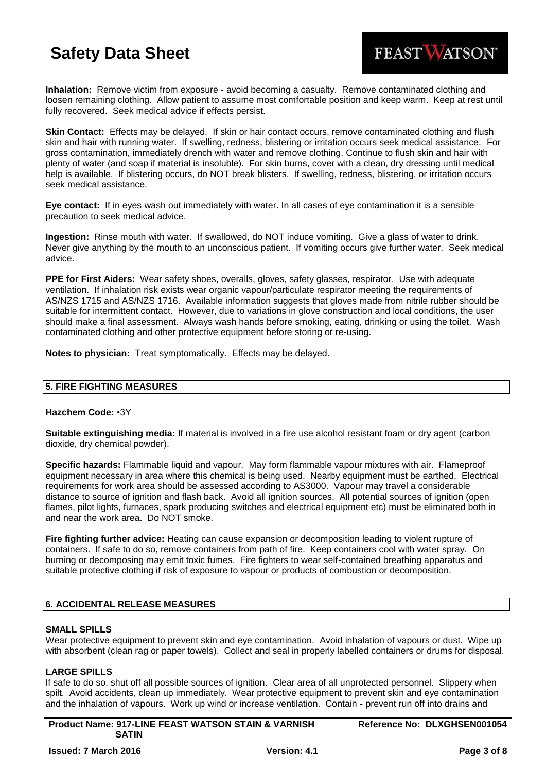**Inhalation:** Remove victim from exposure - avoid becoming a casualty. Remove contaminated clothing and loosen remaining clothing. Allow patient to assume most comfortable position and keep warm. Keep at rest until fully recovered. Seek medical advice if effects persist.

**Skin Contact:** Effects may be delayed. If skin or hair contact occurs, remove contaminated clothing and flush skin and hair with running water. If swelling, redness, blistering or irritation occurs seek medical assistance. For gross contamination, immediately drench with water and remove clothing. Continue to flush skin and hair with plenty of water (and soap if material is insoluble). For skin burns, cover with a clean, dry dressing until medical help is available. If blistering occurs, do NOT break blisters. If swelling, redness, blistering, or irritation occurs seek medical assistance.

**Eye contact:** If in eyes wash out immediately with water. In all cases of eye contamination it is a sensible precaution to seek medical advice.

**Ingestion:** Rinse mouth with water. If swallowed, do NOT induce vomiting. Give a glass of water to drink. Never give anything by the mouth to an unconscious patient. If vomiting occurs give further water. Seek medical advice.

**PPE for First Aiders:** Wear safety shoes, overalls, gloves, safety glasses, respirator. Use with adequate ventilation. If inhalation risk exists wear organic vapour/particulate respirator meeting the requirements of AS/NZS 1715 and AS/NZS 1716. Available information suggests that gloves made from nitrile rubber should be suitable for intermittent contact. However, due to variations in glove construction and local conditions, the user should make a final assessment. Always wash hands before smoking, eating, drinking or using the toilet. Wash contaminated clothing and other protective equipment before storing or re-using.

**Notes to physician:** Treat symptomatically. Effects may be delayed.

## **5. FIRE FIGHTING MEASURES**

#### **Hazchem Code:** •3Y

**Suitable extinguishing media:** If material is involved in a fire use alcohol resistant foam or dry agent (carbon dioxide, dry chemical powder).

**Specific hazards:** Flammable liquid and vapour. May form flammable vapour mixtures with air. Flameproof equipment necessary in area where this chemical is being used. Nearby equipment must be earthed. Electrical requirements for work area should be assessed according to AS3000. Vapour may travel a considerable distance to source of ignition and flash back. Avoid all ignition sources. All potential sources of ignition (open flames, pilot lights, furnaces, spark producing switches and electrical equipment etc) must be eliminated both in and near the work area. Do NOT smoke.

**Fire fighting further advice:** Heating can cause expansion or decomposition leading to violent rupture of containers. If safe to do so, remove containers from path of fire. Keep containers cool with water spray. On burning or decomposing may emit toxic fumes. Fire fighters to wear self-contained breathing apparatus and suitable protective clothing if risk of exposure to vapour or products of combustion or decomposition.

## **6. ACCIDENTAL RELEASE MEASURES**

#### **SMALL SPILLS**

Wear protective equipment to prevent skin and eye contamination. Avoid inhalation of vapours or dust. Wipe up with absorbent (clean rag or paper towels). Collect and seal in properly labelled containers or drums for disposal.

#### **LARGE SPILLS**

If safe to do so, shut off all possible sources of ignition. Clear area of all unprotected personnel. Slippery when spilt. Avoid accidents, clean up immediately. Wear protective equipment to prevent skin and eye contamination and the inhalation of vapours. Work up wind or increase ventilation. Contain - prevent run off into drains and

**Product Name: 917-LINE FEAST WATSON STAIN & VARNISH SATIN**

FEAST WATSON®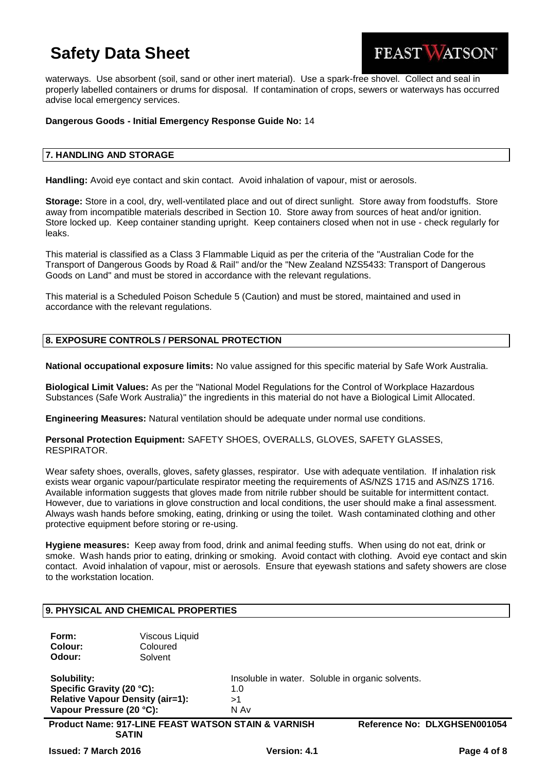

waterways. Use absorbent (soil, sand or other inert material). Use a spark-free shovel. Collect and seal in properly labelled containers or drums for disposal. If contamination of crops, sewers or waterways has occurred advise local emergency services.

### **Dangerous Goods - Initial Emergency Response Guide No:** 14

## **7. HANDLING AND STORAGE**

**Handling:** Avoid eye contact and skin contact. Avoid inhalation of vapour, mist or aerosols.

**Storage:** Store in a cool, dry, well-ventilated place and out of direct sunlight. Store away from foodstuffs. Store away from incompatible materials described in Section 10. Store away from sources of heat and/or ignition. Store locked up. Keep container standing upright. Keep containers closed when not in use - check regularly for leaks.

This material is classified as a Class 3 Flammable Liquid as per the criteria of the "Australian Code for the Transport of Dangerous Goods by Road & Rail" and/or the "New Zealand NZS5433: Transport of Dangerous Goods on Land" and must be stored in accordance with the relevant regulations.

This material is a Scheduled Poison Schedule 5 (Caution) and must be stored, maintained and used in accordance with the relevant regulations.

## **8. EXPOSURE CONTROLS / PERSONAL PROTECTION**

**National occupational exposure limits:** No value assigned for this specific material by Safe Work Australia.

**Biological Limit Values:** As per the "National Model Regulations for the Control of Workplace Hazardous Substances (Safe Work Australia)" the ingredients in this material do not have a Biological Limit Allocated.

**Engineering Measures:** Natural ventilation should be adequate under normal use conditions.

**Personal Protection Equipment:** SAFETY SHOES, OVERALLS, GLOVES, SAFETY GLASSES, RESPIRATOR.

Wear safety shoes, overalls, gloves, safety glasses, respirator. Use with adequate ventilation. If inhalation risk exists wear organic vapour/particulate respirator meeting the requirements of AS/NZS 1715 and AS/NZS 1716. Available information suggests that gloves made from nitrile rubber should be suitable for intermittent contact. However, due to variations in glove construction and local conditions, the user should make a final assessment. Always wash hands before smoking, eating, drinking or using the toilet. Wash contaminated clothing and other protective equipment before storing or re-using.

**Hygiene measures:** Keep away from food, drink and animal feeding stuffs. When using do not eat, drink or smoke. Wash hands prior to eating, drinking or smoking. Avoid contact with clothing. Avoid eye contact and skin contact. Avoid inhalation of vapour, mist or aerosols. Ensure that eyewash stations and safety showers are close to the workstation location.

|                                                                      | 9. PHYSICAL AND CHEMICAL PROPERTIES                                            |                                                                       |
|----------------------------------------------------------------------|--------------------------------------------------------------------------------|-----------------------------------------------------------------------|
| Form:<br>Colour:<br>Odour:                                           | Viscous Liquid<br>Coloured<br>Solvent                                          |                                                                       |
| Solubility:<br>Specific Gravity (20 °C):<br>Vapour Pressure (20 °C): | <b>Relative Vapour Density (air=1):</b>                                        | Insoluble in water. Soluble in organic solvents.<br>1.0<br>>1<br>N Av |
|                                                                      | <b>Product Name: 917-LINE FEAST WATSON STAIN &amp; VARNISH</b><br><b>SATIN</b> | Reference No: DLXGHSEN001054                                          |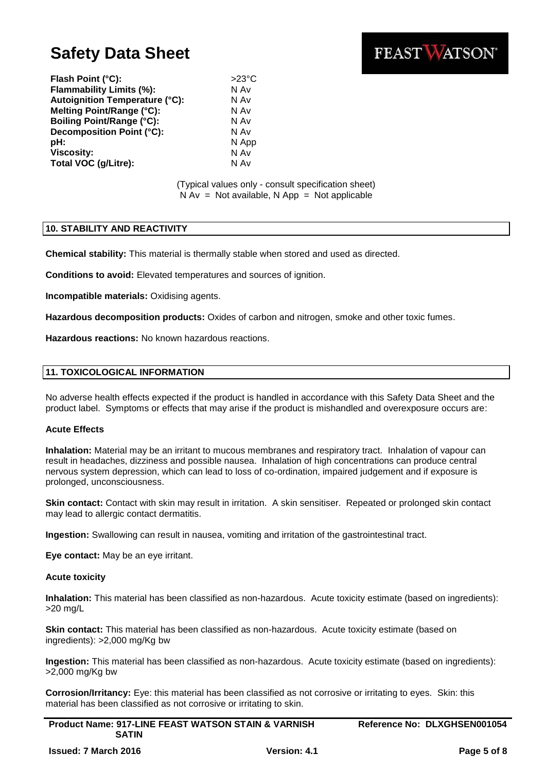

Flash Point (°C): >23°C **Flammability Limits (%):** N Av **Autoignition Temperature (°C):** N Av **Melting Point/Range (°C):** N Av **Boiling Point/Range (°C):** N Av **Decomposition Point (°C):** N Av **pH:** N App **Viscosity:** N Av **Total VOC (g/Litre):** N Av

#### (Typical values only - consult specification sheet)  $N Av = Not available, N App = Not applicable$

#### **10. STABILITY AND REACTIVITY**

**Chemical stability:** This material is thermally stable when stored and used as directed.

**Conditions to avoid:** Elevated temperatures and sources of ignition.

**Incompatible materials:** Oxidising agents.

**Hazardous decomposition products:** Oxides of carbon and nitrogen, smoke and other toxic fumes.

**Hazardous reactions:** No known hazardous reactions.

#### **11. TOXICOLOGICAL INFORMATION**

No adverse health effects expected if the product is handled in accordance with this Safety Data Sheet and the product label. Symptoms or effects that may arise if the product is mishandled and overexposure occurs are:

#### **Acute Effects**

**Inhalation:** Material may be an irritant to mucous membranes and respiratory tract. Inhalation of vapour can result in headaches, dizziness and possible nausea. Inhalation of high concentrations can produce central nervous system depression, which can lead to loss of co-ordination, impaired judgement and if exposure is prolonged, unconsciousness.

**Skin contact:** Contact with skin may result in irritation. A skin sensitiser. Repeated or prolonged skin contact may lead to allergic contact dermatitis.

**Ingestion:** Swallowing can result in nausea, vomiting and irritation of the gastrointestinal tract.

**Eye contact:** May be an eye irritant.

#### **Acute toxicity**

**Inhalation:** This material has been classified as non-hazardous. Acute toxicity estimate (based on ingredients): >20 mg/L

**Skin contact:** This material has been classified as non-hazardous. Acute toxicity estimate (based on ingredients): >2,000 mg/Kg bw

**Ingestion:** This material has been classified as non-hazardous. Acute toxicity estimate (based on ingredients): >2,000 mg/Kg bw

**Corrosion/Irritancy:** Eye: this material has been classified as not corrosive or irritating to eyes. Skin: this material has been classified as not corrosive or irritating to skin.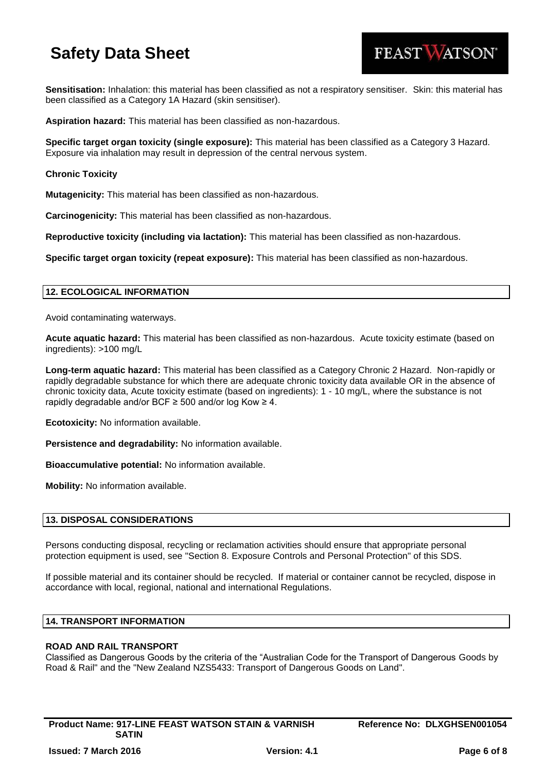

**Sensitisation:** Inhalation: this material has been classified as not a respiratory sensitiser. Skin: this material has been classified as a Category 1A Hazard (skin sensitiser).

**Aspiration hazard:** This material has been classified as non-hazardous.

**Specific target organ toxicity (single exposure):** This material has been classified as a Category 3 Hazard. Exposure via inhalation may result in depression of the central nervous system.

## **Chronic Toxicity**

**Mutagenicity:** This material has been classified as non-hazardous.

**Carcinogenicity:** This material has been classified as non-hazardous.

**Reproductive toxicity (including via lactation):** This material has been classified as non-hazardous.

**Specific target organ toxicity (repeat exposure):** This material has been classified as non-hazardous.

## **12. ECOLOGICAL INFORMATION**

Avoid contaminating waterways.

**Acute aquatic hazard:** This material has been classified as non-hazardous. Acute toxicity estimate (based on ingredients): >100 mg/L

**Long-term aquatic hazard:** This material has been classified as a Category Chronic 2 Hazard. Non-rapidly or rapidly degradable substance for which there are adequate chronic toxicity data available OR in the absence of chronic toxicity data, Acute toxicity estimate (based on ingredients): 1 - 10 mg/L, where the substance is not rapidly degradable and/or BCF  $\geq$  500 and/or log Kow  $\geq$  4.

**Ecotoxicity:** No information available.

**Persistence and degradability:** No information available.

**Bioaccumulative potential:** No information available.

**Mobility:** No information available.

#### **13. DISPOSAL CONSIDERATIONS**

Persons conducting disposal, recycling or reclamation activities should ensure that appropriate personal protection equipment is used, see "Section 8. Exposure Controls and Personal Protection" of this SDS.

If possible material and its container should be recycled. If material or container cannot be recycled, dispose in accordance with local, regional, national and international Regulations.

## **14. TRANSPORT INFORMATION**

## **ROAD AND RAIL TRANSPORT**

Classified as Dangerous Goods by the criteria of the "Australian Code for the Transport of Dangerous Goods by Road & Rail" and the "New Zealand NZS5433: Transport of Dangerous Goods on Land".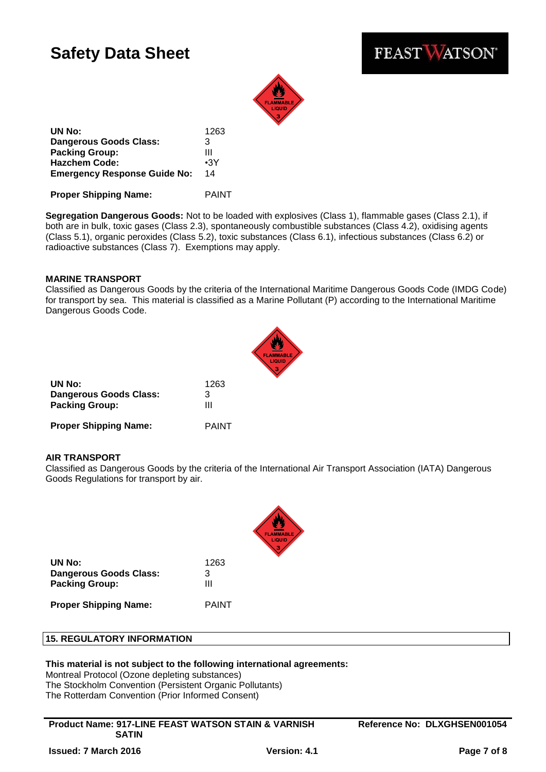



**UN No:** 1263 **Dangerous Goods Class:** 3 **Packing Group:** III **Hazchem Code:** •3Y **Emergency Response Guide No:** 14

**Proper Shipping Name:** PAINT

**Segregation Dangerous Goods:** Not to be loaded with explosives (Class 1), flammable gases (Class 2.1), if both are in bulk, toxic gases (Class 2.3), spontaneously combustible substances (Class 4.2), oxidising agents (Class 5.1), organic peroxides (Class 5.2), toxic substances (Class 6.1), infectious substances (Class 6.2) or radioactive substances (Class 7). Exemptions may apply.

## **MARINE TRANSPORT**

Classified as Dangerous Goods by the criteria of the International Maritime Dangerous Goods Code (IMDG Code) for transport by sea. This material is classified as a Marine Pollutant (P) according to the International Maritime Dangerous Goods Code.



| UN No:                       | 1263         |
|------------------------------|--------------|
| Dangerous Goods Class:       | 3            |
| <b>Packing Group:</b>        | Ш            |
| <b>Proper Shipping Name:</b> | <b>PAINT</b> |

#### **AIR TRANSPORT**

Classified as Dangerous Goods by the criteria of the International Air Transport Association (IATA) Dangerous Goods Regulations for transport by air.



**UN No:** 1263 **Dangerous Goods Class:** 3 **Packing Group:** III

**Proper Shipping Name:** PAINT

## **15. REGULATORY INFORMATION**

#### **This material is not subject to the following international agreements:**

Montreal Protocol (Ozone depleting substances) The Stockholm Convention (Persistent Organic Pollutants) The Rotterdam Convention (Prior Informed Consent)

**Product Name: 917-LINE FEAST WATSON STAIN & VARNISH SATIN**